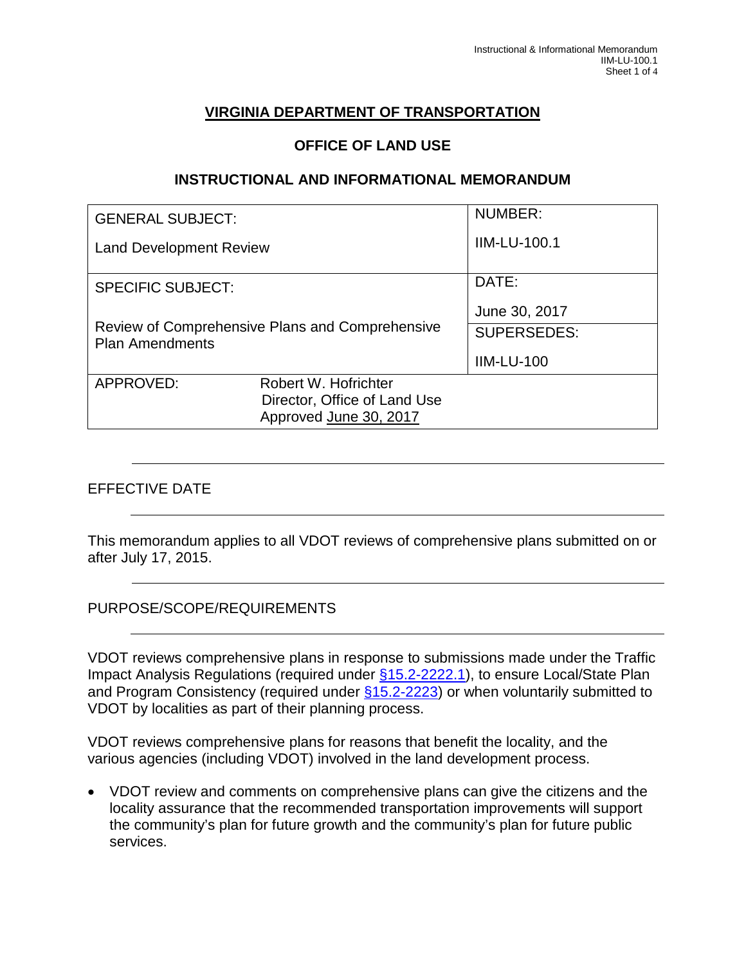# **VIRGINIA DEPARTMENT OF TRANSPORTATION**

## **OFFICE OF LAND USE**

#### **INSTRUCTIONAL AND INFORMATIONAL MEMORANDUM**

| <b>GENERAL SUBJECT:</b>                                                   |                                                                                | <b>NUMBER:</b>      |
|---------------------------------------------------------------------------|--------------------------------------------------------------------------------|---------------------|
| <b>Land Development Review</b>                                            |                                                                                | <b>IIM-LU-100.1</b> |
| <b>SPECIFIC SUBJECT:</b>                                                  |                                                                                | DATE:               |
|                                                                           |                                                                                | June 30, 2017       |
| Review of Comprehensive Plans and Comprehensive<br><b>Plan Amendments</b> |                                                                                | <b>SUPERSEDES:</b>  |
|                                                                           |                                                                                | <b>IIM-LU-100</b>   |
| APPROVED:                                                                 | Robert W. Hofrichter<br>Director, Office of Land Use<br>Approved June 30, 2017 |                     |

## EFFECTIVE DATE

This memorandum applies to all VDOT reviews of comprehensive plans submitted on or after July 17, 2015.

PURPOSE/SCOPE/REQUIREMENTS

VDOT reviews comprehensive plans in response to submissions made under the Traffic Impact Analysis Regulations (required under [§15.2-2222.1\)](http://law.lis.virginia.gov/vacode/title15.2/chapter22/section15.2-2222.1/), to ensure Local/State Plan and Program Consistency (required under  $\S$ 15.2-2223) or when voluntarily submitted to VDOT by localities as part of their planning process.

VDOT reviews comprehensive plans for reasons that benefit the locality, and the various agencies (including VDOT) involved in the land development process.

• VDOT review and comments on comprehensive plans can give the citizens and the locality assurance that the recommended transportation improvements will support the community's plan for future growth and the community's plan for future public services.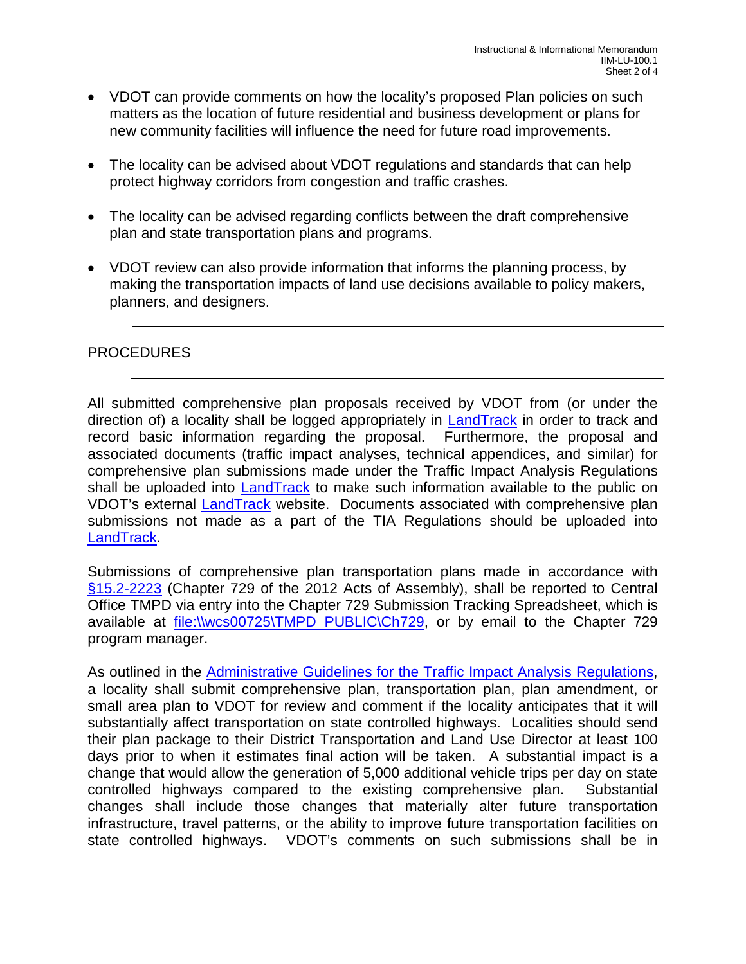- VDOT can provide comments on how the locality's proposed Plan policies on such matters as the location of future residential and business development or plans for new community facilities will influence the need for future road improvements.
- The locality can be advised about VDOT regulations and standards that can help protect highway corridors from congestion and traffic crashes.
- The locality can be advised regarding conflicts between the draft comprehensive plan and state transportation plans and programs.
- VDOT review can also provide information that informs the planning process, by making the transportation impacts of land use decisions available to policy makers, planners, and designers.

#### PROCEDURES

All submitted comprehensive plan proposals received by VDOT from (or under the direction of) a locality shall be logged appropriately in [LandTrack](http://landtrack/?District=S) in order to track and record basic information regarding the proposal. Furthermore, the proposal and associated documents (traffic impact analyses, technical appendices, and similar) for comprehensive plan submissions made under the Traffic Impact Analysis Regulations shall be uploaded into [LandTrack](http://landtrack/?District=S) to make such information available to the public on VDOT's external **LandTrack** website. Documents associated with comprehensive plan submissions not made as a part of the TIA Regulations should be uploaded into [LandTrack.](http://landtrack/?District=S)

Submissions of comprehensive plan transportation plans made in accordance with [§15.2-2223](http://law.lis.virginia.gov/vacode/title15.2/chapter22/section15.2-2223/) (Chapter 729 of the 2012 Acts of Assembly), shall be reported to Central Office TMPD via entry into the Chapter 729 Submission Tracking Spreadsheet, which is available at **file:\\wcs00725\TMPD\_PUBLIC\Ch729**, or by email to the Chapter 729 program manager.

As outlined in the [Administrative Guidelines for the Traffic Impact Analysis Regulations,](http://www.vdot.virginia.gov/projects/resources/chapter527/Administrative_Guidelines_TIA_Regs_Nov_2014.pdf) a locality shall submit comprehensive plan, transportation plan, plan amendment, or small area plan to VDOT for review and comment if the locality anticipates that it will substantially affect transportation on state controlled highways. Localities should send their plan package to their District Transportation and Land Use Director at least 100 days prior to when it estimates final action will be taken. A substantial impact is a change that would allow the generation of 5,000 additional vehicle trips per day on state controlled highways compared to the existing comprehensive plan. Substantial changes shall include those changes that materially alter future transportation infrastructure, travel patterns, or the ability to improve future transportation facilities on state controlled highways. VDOT's comments on such submissions shall be in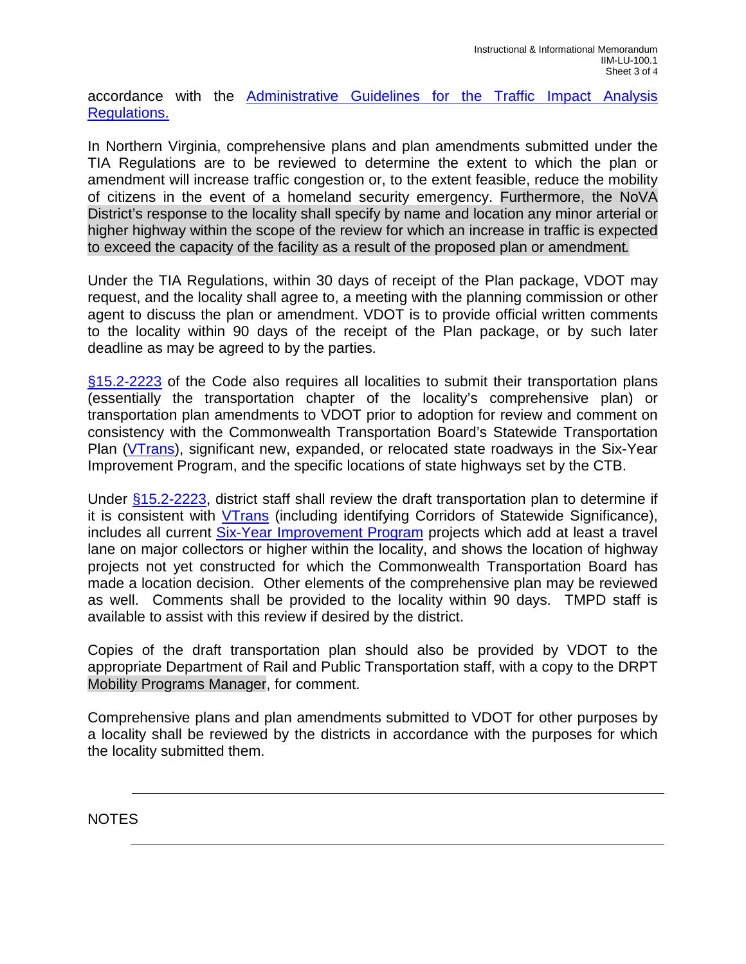accordance with the [Administrative Guidelines for the Traffic Impact Analysis](http://www.vdot.virginia.gov/projects/resources/chapter527/Administrative_Guidelines_TIA_Regs_Nov_2014.pdf)  [Regulations.](http://www.vdot.virginia.gov/projects/resources/chapter527/Administrative_Guidelines_TIA_Regs_Nov_2014.pdf)

In Northern Virginia, comprehensive plans and plan amendments submitted under the TIA Regulations are to be reviewed to determine the extent to which the plan or amendment will increase traffic congestion or, to the extent feasible, reduce the mobility of citizens in the event of a homeland security emergency. Furthermore, the NoVA District's response to the locality shall specify by name and location any minor arterial or higher highway within the scope of the review for which an increase in traffic is expected to exceed the capacity of the facility as a result of the proposed plan or amendment*.*

Under the TIA Regulations, within 30 days of receipt of the Plan package, VDOT may request, and the locality shall agree to, a meeting with the planning commission or other agent to discuss the plan or amendment. VDOT is to provide official written comments to the locality within 90 days of the receipt of the Plan package, or by such later deadline as may be agreed to by the parties.

[§15.2-2223](http://law.lis.virginia.gov/vacode/title15.2/chapter22/section15.2-2223/) of the Code also requires all localities to submit their transportation plans (essentially the transportation chapter of the locality's comprehensive plan) or transportation plan amendments to VDOT prior to adoption for review and comment on consistency with the Commonwealth Transportation Board's Statewide Transportation Plan [\(VTrans\)](http://www.vtrans.org/), significant new, expanded, or relocated state roadways in the Six-Year Improvement Program, and the specific locations of state highways set by the CTB.

Under [§15.2-2223,](http://law.lis.virginia.gov/vacode/title15.2/chapter22/section15.2-2223/) district staff shall review the draft transportation plan to determine if it is consistent with [VTrans](http://www.vtrans.org/) (including identifying Corridors of Statewide Significance), includes all current [Six-Year Improvement Program](http://www.virginiadot.org/projects/syp-default.asp) projects which add at least a travel lane on major collectors or higher within the locality, and shows the location of highway projects not yet constructed for which the Commonwealth Transportation Board has made a location decision. Other elements of the comprehensive plan may be reviewed as well. Comments shall be provided to the locality within 90 days. TMPD staff is available to assist with this review if desired by the district.

Copies of the draft transportation plan should also be provided by VDOT to the appropriate Department of Rail and Public Transportation staff, with a copy to the DRPT Mobility Programs Manager, for comment.

Comprehensive plans and plan amendments submitted to VDOT for other purposes by a locality shall be reviewed by the districts in accordance with the purposes for which the locality submitted them.

NOTES